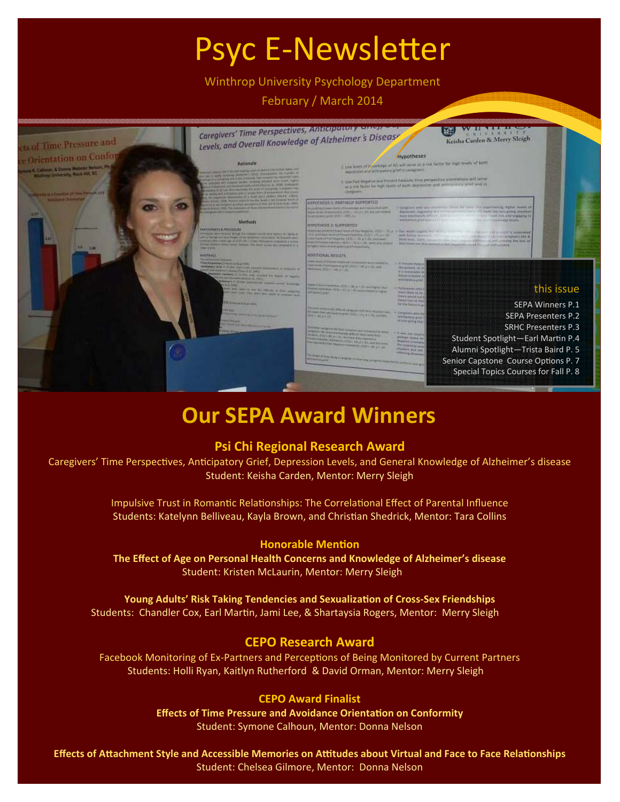# Psyc E-Newsletter

Winthrop University Psychology Department

February / March 2014



## **Our SEPA Award Winners**

#### **Psi Chi Regional Research Award**

Caregivers' Time Perspectives, Anticipatory Grief, Depression Levels, and General Knowledge of Alzheimer's disease Student: Keisha Carden, Mentor: Merry Sleigh

> Impulsive Trust in Romantic Relationships: The Correlational Effect of Parental Influence Students: Katelynn Belliveau, Kayla Brown, and Christian Shedrick, Mentor: Tara Collins

#### **Honorable** Mention

**The Effect of Age on Personal Health Concerns and Knowledge of Alzheimer's disease** Student: Kristen McLaurin, Mentor: Merry Sleigh

**Young Adults' Risk Taking Tendencies and SexualizaƟon of Cross‐Sex Friendships**  Students: Chandler Cox, Earl Martin, Jami Lee, & Shartaysia Rogers, Mentor: Merry Sleigh

#### **CEPO Research Award**

Facebook Monitoring of Ex-Partners and Perceptions of Being Monitored by Current Partners Students: Holli Ryan, Kaitlyn Rutherford & David Orman, Mentor: Merry Sleigh

#### **CEPO Award Finalist**

**Effects of Time Pressure and Avoidance OrientaƟon on Conformity** Student: Symone Calhoun, Mentor: Donna Nelson

Effects of Attachment Style and Accessible Memories on Attitudes about Virtual and Face to Face Relationships Student: Chelsea Gilmore, Mentor: Donna Nelson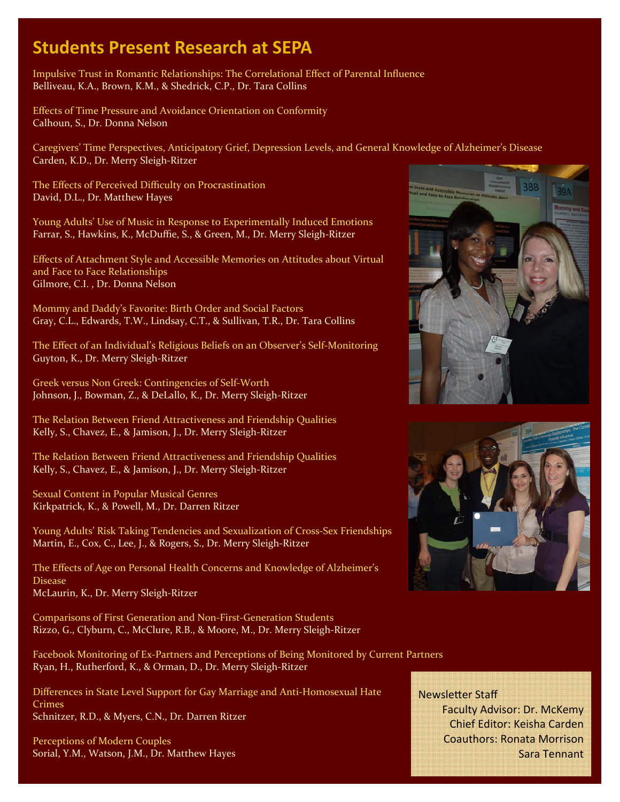### **Students Present Research at SEPA**

Impulsive Trust in Romantic Relationships: The Correlational Effect of Parental Influence Belliveau, K.A., Brown, K.M., & Shedrick, C.P., Dr. Tara Collins

Effects of Time Pressure and Avoidance Orientation on Conformity Calhoun, S., Dr. Donna Nelson

Caregivers' Time Perspectives, Anticipatory Grief, Depression Levels, and General Knowledge of Alzheimer's Disease Carden, K.D., Dr. Merry Sleigh‐Ritzer

The Effects of Perceived Difficulty on Procrastination David, D.L., Dr. Matthew Hayes

Young Adults' Use of Music in Response to Experimentally Induced Emotions Farrar, S., Hawkins, K., McDuffie, S., & Green, M., Dr. Merry Sleigh‐Ritzer

Effects of Attachment Style and Accessible Memories on Attitudes about Virtual and Face to Face Relationships Gilmore, C.I. , Dr. Donna Nelson

Mommy and Daddy's Favorite: Birth Order and Social Factors Gray, C.L., Edwards, T.W., Lindsay, C.T., & Sullivan, T.R., Dr. Tara Collins

The Effect of an Individual's Religious Beliefs on an Observer's Self‐Monitoring Guyton, K., Dr. Merry Sleigh‐Ritzer

Greek versus Non Greek: Contingencies of Self‐Worth Johnson, J., Bowman, Z., & DeLallo, K., Dr. Merry Sleigh‐Ritzer

The Relation Between Friend Attractiveness and Friendship Qualities Kelly, S., Chavez, E., & Jamison, J., Dr. Merry Sleigh‐Ritzer

The Relation Between Friend Attractiveness and Friendship Qualities Kelly, S., Chavez, E., & Jamison, J., Dr. Merry Sleigh‐Ritzer

Sexual Content in Popular Musical Genres Kirkpatrick, K., & Powell, M., Dr. Darren Ritzer

Young Adults' Risk Taking Tendencies and Sexualization of Cross‐Sex Friendships Martin, E., Cox, C., Lee, J., & Rogers, S., Dr. Merry Sleigh‐Ritzer

The Effects of Age on Personal Health Concerns and Knowledge of Alzheimer's Disease McLaurin, K., Dr. Merry Sleigh‐Ritzer

Comparisons of First Generation and Non‐First‐Generation Students Rizzo, G., Clyburn, C., McClure, R.B., & Moore, M., Dr. Merry Sleigh‐Ritzer

Facebook Monitoring of Ex‐Partners and Perceptions of Being Monitored by Current Partners Ryan, H., Rutherford, K., & Orman, D., Dr. Merry Sleigh‐Ritzer

Differences in State Level Support for Gay Marriage and Anti‐Homosexual Hate Crimes Schnitzer, R.D., & Myers, C.N., Dr. Darren Ritzer

Perceptions of Modern Couples Sorial, Y.M., Watson, J.M., Dr. Matthew Hayes





**Newsletter Staff** Faculty Advisor: Dr. McKemy Chief Editor: Keisha Carden Coauthors: Ronata Morrison Sara Tennant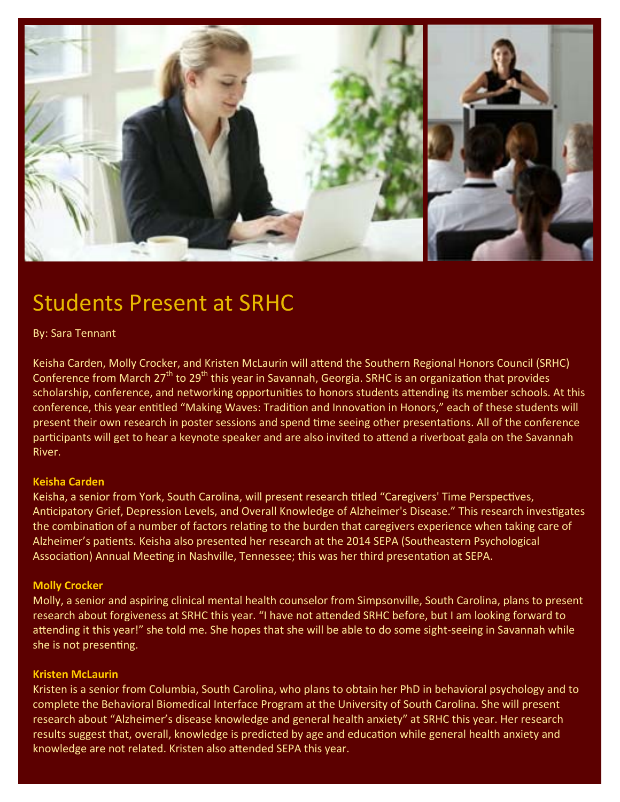

## Students Present at SRHC

#### By: Sara Tennant

Keisha Carden, Molly Crocker, and Kristen McLaurin will attend the Southern Regional Honors Council (SRHC) Conference from March 27<sup>th</sup> to 29<sup>th</sup> this year in Savannah, Georgia. SRHC is an organization that provides scholarship, conference, and networking opportunities to honors students attending its member schools. At this conference, this year entitled "Making Waves: Tradition and Innovation in Honors," each of these students will present their own research in poster sessions and spend time seeing other presentations. All of the conference participants will get to hear a keynote speaker and are also invited to attend a riverboat gala on the Savannah River.

#### **Keisha Carden**

Keisha, a senior from York, South Carolina, will present research titled "Caregivers' Time Perspectives, Anticipatory Grief, Depression Levels, and Overall Knowledge of Alzheimer's Disease." This research investigates the combination of a number of factors relating to the burden that caregivers experience when taking care of Alzheimer's patients. Keisha also presented her research at the 2014 SEPA (Southeastern Psychological Association) Annual Meeting in Nashville, Tennessee; this was her third presentation at SEPA.

#### **Molly Crocker**

Molly, a senior and aspiring clinical mental health counselor from Simpsonville, South Carolina, plans to present research about forgiveness at SRHC this year. "I have not attended SRHC before, but I am looking forward to attending it this year!" she told me. She hopes that she will be able to do some sight-seeing in Savannah while she is not presenting.

#### **Kristen McLaurin**

Kristen is a senior from Columbia, South Carolina, who plans to obtain her PhD in behavioral psychology and to complete the Behavioral Biomedical Interface Program at the University of South Carolina. She will present research about "Alzheimer's disease knowledge and general health anxiety" at SRHC this year. Her research results suggest that, overall, knowledge is predicted by age and education while general health anxiety and knowledge are not related. Kristen also attended SEPA this year.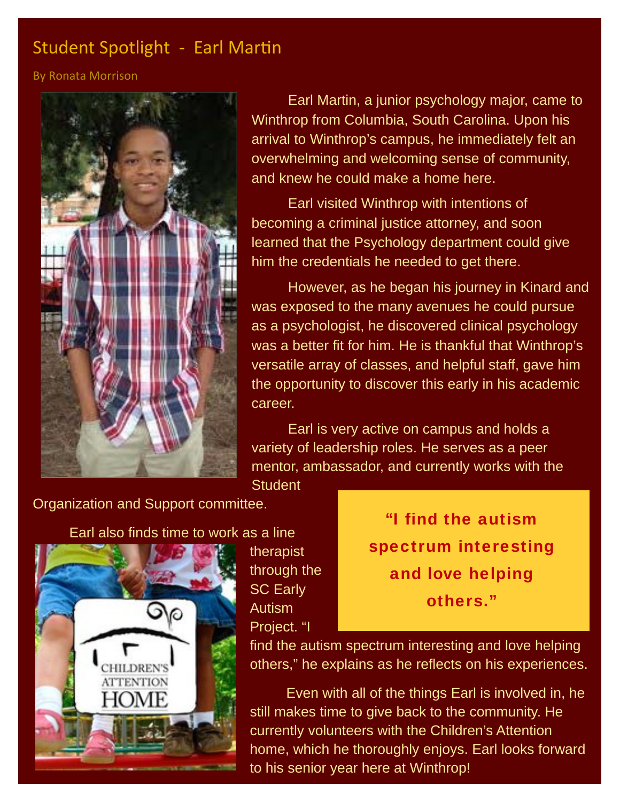### Student Spotlight - Earl Martin

By Ronata Morrison



Earl Martin, a junior psychology major, came to Winthrop from Columbia, South Carolina. Upon his arrival to Winthrop's campus, he immediately felt an overwhelming and welcoming sense of community, and knew he could make a home here.

 Earl visited Winthrop with intentions of becoming a criminal justice attorney, and soon learned that the Psychology department could give him the credentials he needed to get there.

 However, as he began his journey in Kinard and was exposed to the many avenues he could pursue as a psychologist, he discovered clinical psychology was a better fit for him. He is thankful that Winthrop's versatile array of classes, and helpful staff, gave him the opportunity to discover this early in his academic career.

 Earl is very active on campus and holds a variety of leadership roles. He serves as a peer mentor, ambassador, and currently works with the

**Student** 

Organization and Support committee.

#### Earl also finds time to work as a line



therapist through the SC Early Autism Project. "I

"I find the autism spectrum interesting and love helping others."

find the autism spectrum interesting and love helping others," he explains as he reflects on his experiences.

 Even with all of the things Earl is involved in, he still makes time to give back to the community. He currently volunteers with the Children's Attention home, which he thoroughly enjoys. Earl looks forward to his senior year here at Winthrop!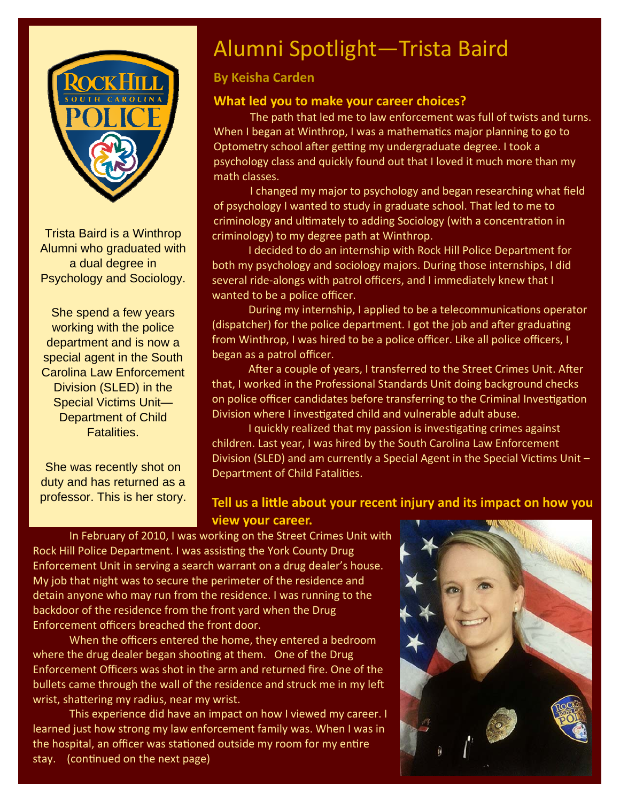

Trista Baird is a Winthrop Alumni who graduated with a dual degree in Psychology and Sociology.

She spend a few years working with the police department and is now a special agent in the South Carolina Law Enforcement Division (SLED) in the Special Victims Unit— Department of Child Fatalities.

She was recently shot on duty and has returned as a professor. This is her story.

## Alumni Spotlight—Trista Baird

#### **By Keisha Carden**

#### **What led you to make your career choices?**

The path that led me to law enforcement was full of twists and turns. When I began at Winthrop, I was a mathematics major planning to go to Optometry school after getting my undergraduate degree. I took a psychology class and quickly found out that I loved it much more than my math classes.

 I changed my major to psychology and began researching what field of psychology I wanted to study in graduate school. That led to me to criminology and ultimately to adding Sociology (with a concentration in criminology) to my degree path at Winthrop.

 I decided to do an internship with Rock Hill Police Department for both my psychology and sociology majors. During those internships, I did several ride-alongs with patrol officers, and I immediately knew that I wanted to be a police officer.

During my internship, I applied to be a telecommunications operator (dispatcher) for the police department. I got the job and after graduating from Winthrop, I was hired to be a police officer. Like all police officers, I began as a patrol officer.

After a couple of years, I transferred to the Street Crimes Unit. After that, I worked in the Professional Standards Unit doing background checks on police officer candidates before transferring to the Criminal Investigation Division where I investigated child and vulnerable adult abuse.

I quickly realized that my passion is investigating crimes against children. Last year, I was hired by the South Carolina Law Enforcement Division (SLED) and am currently a Special Agent in the Special Victims Unit  $-$ Department of Child Fatalities.

#### **Tell us a liƩle about your recent injury and its impact on how you view your career.**

In February of 2010, I was working on the Street Crimes Unit with Rock Hill Police Department. I was assisting the York County Drug Enforcement Unit in serving a search warrant on a drug dealer's house. My job that night was to secure the perimeter of the residence and detain anyone who may run from the residence. I was running to the backdoor of the residence from the front yard when the Drug Enforcement officers breached the front door.

 When the officers entered the home, they entered a bedroom where the drug dealer began shooting at them. One of the Drug Enforcement Officers was shot in the arm and returned fire. One of the bullets came through the wall of the residence and struck me in my left wrist, shattering my radius, near my wrist.

 This experience did have an impact on how I viewed my career. I learned just how strong my law enforcement family was. When I was in the hospital, an officer was stationed outside my room for my entire stay. (continued on the next page)

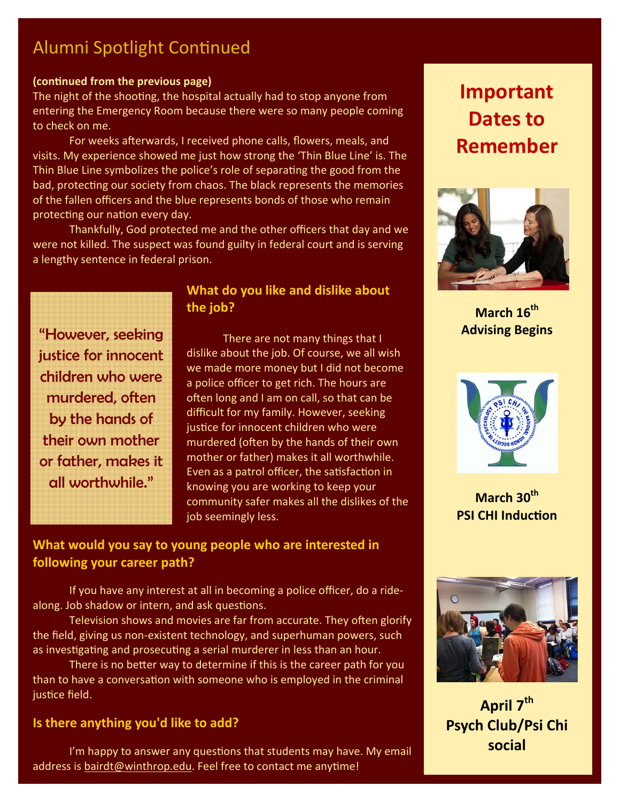### Alumni Spotlight Continued

#### **(conƟnued from the previous page)**

The night of the shooting, the hospital actually had to stop anyone from entering the Emergency Room because there were so many people coming to check on me.

For weeks afterwards, I received phone calls, flowers, meals, and visits. My experience showed me just how strong the 'Thin Blue Line' is. The Thin Blue Line symbolizes the police's role of separating the good from the bad, protecting our society from chaos. The black represents the memories of the fallen officers and the blue represents bonds of those who remain protecting our nation every day.

 Thankfully, God protected me and the other officers that day and we were not killed. The suspect was found guilty in federal court and is serving a lengthy sentence in federal prison.

"However, seeking justice for innocent children who were murdered, often by the hands of their own mother or father, makes it all worthwhile."

#### **What do you like and dislike about the job?**

 There are not many things that I dislike about the job. Of course, we all wish we made more money but I did not become a police officer to get rich. The hours are often long and I am on call, so that can be difficult for my family. However, seeking justice for innocent children who were murdered (often by the hands of their own mother or father) makes it all worthwhile. Even as a patrol officer, the satisfaction in knowing you are working to keep your community safer makes all the dislikes of the job seemingly less.

#### **What would you say to young people who are interested in following your career path?**

 If you have any interest at all in becoming a police officer, do a ride‐ along. Job shadow or intern, and ask questions.

Television shows and movies are far from accurate. They often glorify the field, giving us non‐existent technology, and superhuman powers, such as investigating and prosecuting a serial murderer in less than an hour.

There is no better way to determine if this is the career path for you than to have a conversation with someone who is employed in the criminal justice field.

#### **Is there anything you'd like to add?**

I'm happy to answer any questions that students may have. My email address is bairdt@winthrop.edu. Feel free to contact me anytime!

## **Important Dates to Remember**



**March** 16<sup>th</sup> **Advising Begins** 



**March 30th PSI CHI Induction** 



**April**  $7^{th}$ **Psych Club/Psi Chi social**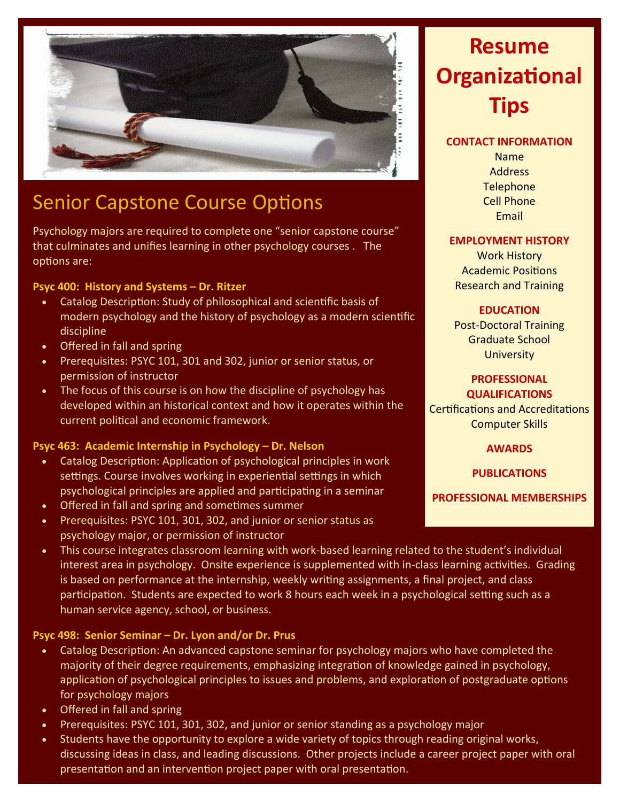

### Senior Capstone Course Options

Psychology majors are required to complete one "senior capstone course" that culminates and unifies learning in other psychology courses . The options are:

#### **Psyc 400: History and Systems – Dr. Ritzer**

- Catalog Description: Study of philosophical and scientific basis of modern psychology and the history of psychology as a modern scientific discipline
- Offered in fall and spring
- Prerequisites: PSYC 101, 301 and 302, junior or senior status, or permission of instructor
- The focus of this course is on how the discipline of psychology has developed within an historical context and how it operates within the current political and economic framework.

#### **Psyc 463: Academic Internship in Psychology – Dr. Nelson**

- Catalog Description: Application of psychological principles in work settings. Course involves working in experiential settings in which psychological principles are applied and participating in a seminar
- Offered in fall and spring and sometimes summer
- Prerequisites: PSYC 101, 301, 302, and junior or senior status as psychology major, or permission of instructor
- This course integrates classroom learning with work‐based learning related to the student's individual interest area in psychology. Onsite experience is supplemented with in-class learning activities. Grading is based on performance at the internship, weekly writing assignments, a final project, and class participation. Students are expected to work 8 hours each week in a psychological setting such as a human service agency, school, or business.

#### **Psyc 498: Senior Seminar – Dr. Lyon and/or Dr. Prus**

- Catalog Description: An advanced capstone seminar for psychology majors who have completed the majority of their degree requirements, emphasizing integration of knowledge gained in psychology, application of psychological principles to issues and problems, and exploration of postgraduate options for psychology majors
- Offered in fall and spring
- Prerequisites: PSYC 101, 301, 302, and junior or senior standing as a psychology major
- Students have the opportunity to explore a wide variety of topics through reading original works, discussing ideas in class, and leading discussions. Other projects include a career project paper with oral presentation and an intervention project paper with oral presentation.

## **Resume OrganizaƟonal Tips**

#### **CONTACT INFORMATION**

Name Address **Telephone** Cell Phone Email

#### **EMPLOYMENT HISTORY**

Work History Academic Positions Research and Training

#### **EDUCATION**

Post‐Doctoral Training Graduate School **University** 

#### **PROFESSIONAL QUALIFICATIONS**

Certifications and Accreditations Computer Skills

**AWARDS**

**PUBLICATIONS**

**PROFESSIONAL MEMBERSHIPS**